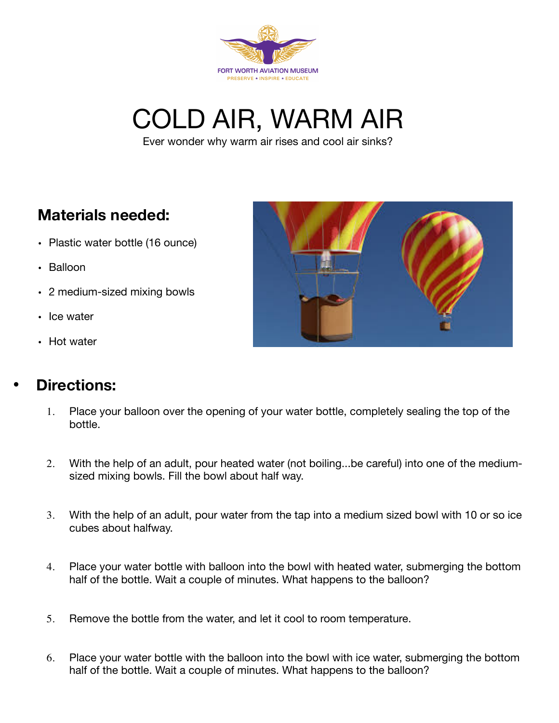

COLD AIR, WARM AIR

Ever wonder why warm air rises and cool air sinks?

## **Materials needed:**

- Plastic water bottle (16 ounce)
- Balloon
- 2 medium-sized mixing bowls
- Ice water
- Hot water

## • **Directions:**



- 1. Place your balloon over the opening of your water bottle, completely sealing the top of the bottle.
- 2. With the help of an adult, pour heated water (not boiling...be careful) into one of the mediumsized mixing bowls. Fill the bowl about half way.
- 3. With the help of an adult, pour water from the tap into a medium sized bowl with 10 or so ice cubes about halfway.
- 4. Place your water bottle with balloon into the bowl with heated water, submerging the bottom half of the bottle. Wait a couple of minutes. What happens to the balloon?
- 5. Remove the bottle from the water, and let it cool to room temperature.
- 6. Place your water bottle with the balloon into the bowl with ice water, submerging the bottom half of the bottle. Wait a couple of minutes. What happens to the balloon?